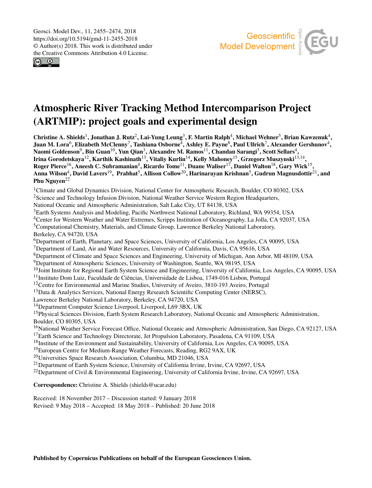$\circ$   $\circ$ 



# Atmospheric River Tracking Method Intercomparison Project (ARTMIP): project goals and experimental design

Christine A. Shields<sup>1</sup>, Jonathan J. Rutz<sup>2</sup>, Lai-Yung Leung<sup>3</sup>, F. Martin Ralph<sup>4</sup>, Michael Wehner<sup>5</sup>, Brian Kawzenuk<sup>4</sup>, Juan M. Lora $^6$ , Elizabeth McClenny $^7$ , Tashiana Osborne $^4$ , Ashley E. Payne $^8$ , Paul Ullrich $^7$ , Alexander Gershunov $^4$ , Naomi Goldenson $^9$ , Bin Guan $^{10}$ , Yun Qian $^3$ , Alexandre M. Ramos $^{11}$ , Chandan Sarangi $^3$ , Scott Sellars $^4$ , Irina Gorodetskaya $^{12}$ , Karthik Kashinath $^{13}$ , Vitaliy Kurlin $^{14}$ , Kelly Mahoney $^{15}$ , Grzegorz Muszynski $^{13,14}$ , Roger Pierce<sup>16</sup>, Aneesh C. Subramanian<sup>4</sup>, Ricardo Tome<sup>11</sup>, Duane Waliser<sup>17</sup>, Daniel Walton<sup>18</sup>, Gary Wick<sup>15</sup>, Anna Wilson $^4$ , David Lavers $^{19}$ , Prabhat $^5$ , Allison Collow $^{20}$ , Harinarayan Krishnan $^5$ , Gudrun Magnusdottir $^{21}$ , and Phu Nguyen $^{22}$ 

<sup>1</sup>Climate and Global Dynamics Division, National Center for Atmospheric Research, Boulder, CO 80302, USA

<sup>2</sup>Science and Technology Infusion Division, National Weather Service Western Region Headquarters,

National Oceanic and Atmospheric Administration, Salt Lake City, UT 84138, USA

<sup>3</sup>Earth Systems Analysis and Modeling, Pacific Northwest National Laboratory, Richland, WA 99354, USA

<sup>4</sup>Center for Western Weather and Water Extremes, Scripps Institution of Oceanography, La Jolla, CA 92037, USA

<sup>5</sup>Computational Chemistry, Materials, and Climate Group, Lawrence Berkeley National Laboratory, Berkeley, CA 94720, USA

<sup>6</sup>Department of Earth, Planetary, and Space Sciences, University of California, Los Angeles, CA 90095, USA

<sup>7</sup>Department of Land, Air and Water Resources, University of California, Davis, CA 95616, USA

<sup>8</sup>Department of Climate and Space Sciences and Engineering, University of Michigan, Ann Arbor, MI 48109, USA

<sup>9</sup>Department of Atmospheric Sciences, University of Washington, Seattle, WA 98195, USA

<sup>10</sup>Joint Institute for Regional Earth System Science and Engineering, University of California, Los Angeles, CA 90095, USA

 $11$ Instituto Dom Luiz, Faculdade de Ciências, Universidade de Lisboa, 1749-016 Lisbon, Portugal

<sup>12</sup>Centre for Environmental and Marine Studies, University of Aveiro, 3810-193 Aveiro, Portugal

 $13$ Data & Analytics Services, National Energy Research Scientific Computing Center (NERSC),

Lawrence Berkeley National Laboratory, Berkeley, CA 94720, USA

<sup>14</sup>Department Computer Science Liverpool, Liverpool, L69 3BX, UK

<sup>15</sup>Physical Sciences Division, Earth System Research Laboratory, National Oceanic and Atmospheric Administration, Boulder, CO 80305, USA

<sup>16</sup>National Weather Service Forecast Office, National Oceanic and Atmospheric Administration, San Diego, CA 92127, USA

<sup>17</sup>Earth Science and Technology Directorate, Jet Propulsion Laboratory, Pasadena, CA 91109, USA

<sup>18</sup>Institute of the Environment and Sustainability, University of California, Los Angeles, CA 90095, USA

 $19$ European Centre for Medium-Range Weather Forecasts, Reading, RG2 9AX, UK

<sup>20</sup>Universities Space Research Association, Columbia, MD 21046, USA

 $^{21}$ Department of Earth System Science, University of California Irvine, Irvine, CA 92697, USA

<sup>22</sup>Department of Civil & Environmental Engineering, University of California Irvine, Irvine, CA 92697, USA

Correspondence: Christine A. Shields (shields@ucar.edu)

Received: 18 November 2017 – Discussion started: 9 January 2018 Revised: 9 May 2018 – Accepted: 18 May 2018 – Published: 20 June 2018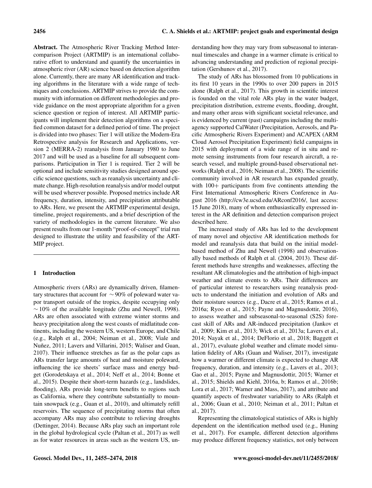Abstract. The Atmospheric River Tracking Method Intercomparison Project (ARTMIP) is an international collaborative effort to understand and quantify the uncertainties in atmospheric river (AR) science based on detection algorithm alone. Currently, there are many AR identification and tracking algorithms in the literature with a wide range of techniques and conclusions. ARTMIP strives to provide the community with information on different methodologies and provide guidance on the most appropriate algorithm for a given science question or region of interest. All ARTMIP participants will implement their detection algorithms on a specified common dataset for a defined period of time. The project is divided into two phases: Tier 1 will utilize the Modern-Era Retrospective analysis for Research and Applications, version 2 (MERRA-2) reanalysis from January 1980 to June 2017 and will be used as a baseline for all subsequent comparisons. Participation in Tier 1 is required. Tier 2 will be optional and include sensitivity studies designed around specific science questions, such as reanalysis uncertainty and climate change. High-resolution reanalysis and/or model output will be used wherever possible. Proposed metrics include AR frequency, duration, intensity, and precipitation attributable to ARs. Here, we present the ARTMIP experimental design, timeline, project requirements, and a brief description of the variety of methodologies in the current literature. We also present results from our 1-month "proof-of-concept" trial run designed to illustrate the utility and feasibility of the ART-MIP project.

# 1 Introduction

Atmospheric rivers (ARs) are dynamically driven, filamentary structures that account for ∼ 90% of poleward water vapor transport outside of the tropics, despite occupying only  $\sim$  10% of the available longitude (Zhu and Newell, 1998). ARs are often associated with extreme winter storms and heavy precipitation along the west coasts of midlatitude continents, including the western US, western Europe, and Chile (e.g., Ralph et al., 2004; Neiman et al., 2008; Viale and Nuñez, 2011; Lavers and Villarini, 2015; Waliser and Guan, 2107). Their influence stretches as far as the polar caps as ARs transfer large amounts of heat and moisture poleward, influencing the ice sheets' surface mass and energy budget (Gorodetskaya et al., 2014; Neff et al., 2014; Bonne et al., 2015). Despite their short-term hazards (e.g., landslides, flooding), ARs provide long-term benefits to regions such as California, where they contribute substantially to mountain snowpack (e.g., Guan et al., 2010), and ultimately refill reservoirs. The sequence of precipitating storms that often accompany ARs may also contribute to relieving droughts (Dettinger, 2014). Because ARs play such an important role in the global hydrological cycle (Paltan et al., 2017) as well as for water resources in areas such as the western US, un-

derstanding how they may vary from subseasonal to interannual timescales and change in a warmer climate is critical to advancing understanding and prediction of regional precipitation (Gershunov et al., 2017).

The study of ARs has blossomed from 10 publications in its first 10 years in the 1990s to over 200 papers in 2015 alone (Ralph et al., 2017). This growth in scientific interest is founded on the vital role ARs play in the water budget, precipitation distribution, extreme events, flooding, drought, and many other areas with significant societal relevance, and is evidenced by current (past) campaigns including the multiagency supported CalWater (Precipitation, Aerosols, and Pacific Atmospheric Rivers Experiment) and ACAPEX (ARM Cloud Aerosol Precipitation Experiment) field campaigns in 2015 with deployment of a wide range of in situ and remote sensing instruments from four research aircraft, a research vessel, and multiple ground-based observational networks (Ralph et al., 2016; Neiman et al., 2008). The scientific community involved in AR research has expanded greatly, with 100+ participants from five continents attending the First International Atmospheric Rivers Conference in August 2016 (http://cw3e.ucsd.edu/ARconf2016/, last access: 15 June 2018), many of whom enthusiastically expressed interest in the AR definition and detection comparison project described here.

The increased study of ARs has led to the development of many novel and objective AR identification methods for model and reanalysis data that build on the initial modelbased method of Zhu and Newell (1998) and observationally based methods of Ralph et al. (2004, 2013). These different methods have strengths and weaknesses, affecting the resultant AR climatologies and the attribution of high-impact weather and climate events to ARs. Their differences are of particular interest to researchers using reanalysis products to understand the initiation and evolution of ARs and their moisture sources (e.g., Dacre et al., 2015; Ramos et al., 2016a; Ryoo et al., 2015; Payne and Magnusdottir, 2016), to assess weather and subseasonal-to-seasonal (S2S) forecast skill of ARs and AR-induced precipitation (Jankov et al., 2009; Kim et al., 2013; Wick et al., 2013a; Lavers et al., 2014; Nayak et al., 2014; DeFlorio et al., 2018; Baggett et al., 2017), evaluate global weather and climate model simulation fidelity of ARs (Guan and Waliser, 2017), investigate how a warmer or different climate is expected to change AR frequency, duration, and intensity (e.g., Lavers et al., 2013; Gao et al., 2015; Payne and Magnusdottir, 2015; Warner et al., 2015; Shields and Kiehl, 2016a, b; Ramos et al., 2016b; Lora et al., 2017; Warner and Mass, 2017), and attribute and quantify aspects of freshwater variability to ARs (Ralph et al., 2006; Guan et al., 2010; Neiman et al., 2011; Paltan et al., 2017).

Representing the climatological statistics of ARs is highly dependent on the identification method used (e.g., Huning et al., 2017). For example, different detection algorithms may produce different frequency statistics, not only between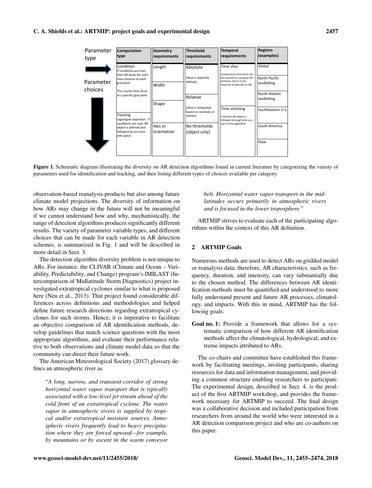

Figure 1. Schematic diagram illustrating the diversity on AR detection algorithms found in current literature by categorizing the variety of parameters used for identification and tracking, and then listing different types of choices available per category.

observation-based reanalysis products but also among future climate model projections. The diversity of information on how ARs may change in the future will not be meaningful if we cannot understand how and why, mechanistically, the range of detection algorithms produces significantly different results. The variety of parameter variable types, and different choices that can be made for each variable in AR detection schemes, is summarized in Fig. 1 and will be described in more detail in Sect. 3.

The detection algorithm diversity problem is not unique to ARs. For instance, the CLIVAR (Climate and Ocean – Variability, Predictability, and Change) program's IMILAST (Intercomparison of Midlatitude Storm Diagnostics) project investigated extratropical cyclones similar to what is proposed here (Neu et al., 2013). That project found considerable differences across definitions and methodologies and helped define future research directions regarding extratropical cyclones for such storms. Hence, it is imperative to facilitate an objective comparison of AR identification methods, develop guidelines that match science questions with the most appropriate algorithms, and evaluate their performance relative to both observations and climate model data so that the community can direct their future work.

The American Meteorological Society (2017) glossary defines an atmospheric river as

"*A long, narrow, and transient corridor of strong horizontal water vapor transport that is typically associated with a low-level jet stream ahead of the cold front of an extratropical cyclone. The water vapor in atmospheric rivers is supplied by tropical and/or extratropical moisture sources. Atmospheric rivers frequently lead to heavy precipitation where they are forced upward—for example, by mountains or by ascent in the warm conveyor*

*belt. Horizontal water vapor transport in the midlatitudes occurs primarily in atmospheric rivers and is focused in the lower troposphere.*"

ARTMIP strives to evaluate each of the participating algorithms within the context of this AR definition.

## 2 ARTMIP Goals

Numerous methods are used to detect ARs on gridded model or reanalysis data; therefore, AR characteristics, such as frequency, duration, and intensity, can vary substantially due to the chosen method. The differences between AR identification methods must be quantified and understood to more fully understand present and future AR processes, climatology, and impacts. With this in mind, ARTMIP has the following goals:

Goal no. 1: Provide a framework that allows for a systematic comparison of how different AR identification methods affect the climatological, hydrological, and extreme impacts attributed to ARs.

The co-chairs and committee have established this framework by facilitating meetings, inviting participants, sharing resources for data and information management, and providing a common structure enabling researchers to participate. The experimental design, described in Sect. 4, is the product of the first ARTMIP workshop, and provides the framework necessary for ARTMIP to succeed. The final design was a collaborative decision and included participation from researchers from around the world who were interested in a AR detection comparison project and who are co-authors on this paper.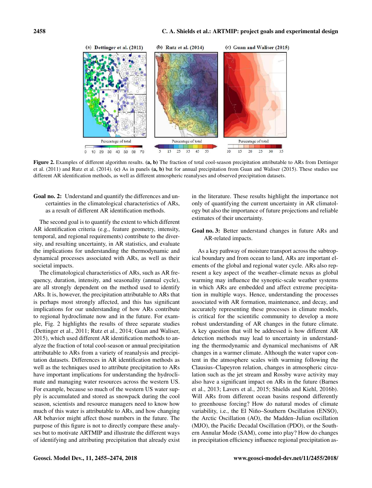

Figure 2. Examples of different algorithm results. (a, b) The fraction of total cool-season precipitation attributable to ARs from Dettinger et al. (2011) and Rutz et al. (2014). (c) As in panels (a, b) but for annual precipitation from Guan and Waliser (2015). These studies use different AR identification methods, as well as different atmospheric reanalyses and observed precipitation datasets.

Goal no. 2: Understand and quantify the differences and uncertainties in the climatological characteristics of ARs, as a result of different AR identification methods.

The second goal is to quantify the extent to which different AR identification criteria (e.g., feature geometry, intensity, temporal, and regional requirements) contribute to the diversity, and resulting uncertainty, in AR statistics, and evaluate the implications for understanding the thermodynamic and dynamical processes associated with ARs, as well as their societal impacts.

The climatological characteristics of ARs, such as AR frequency, duration, intensity, and seasonality (annual cycle), are all strongly dependent on the method used to identify ARs. It is, however, the precipitation attributable to ARs that is perhaps most strongly affected, and this has significant implications for our understanding of how ARs contribute to regional hydroclimate now and in the future. For example, Fig. 2 highlights the results of three separate studies (Dettinger et al., 2011; Rutz et al., 2014; Guan and Waliser, 2015), which used different AR identification methods to analyze the fraction of total cool-season or annual precipitation attributable to ARs from a variety of reanalysis and precipitation datasets. Differences in AR identification methods as well as the techniques used to attribute precipitation to ARs have important implications for understanding the hydroclimate and managing water resources across the western US. For example, because so much of the western US water supply is accumulated and stored as snowpack during the cool season, scientists and resource managers need to know how much of this water is attributable to ARs, and how changing AR behavior might affect those numbers in the future. The purpose of this figure is not to directly compare these analyses but to motivate ARTMIP and illustrate the different ways of identifying and attributing precipitation that already exist in the literature. These results highlight the importance not only of quantifying the current uncertainty in AR climatology but also the importance of future projections and reliable estimates of their uncertainty.

## Goal no. 3: Better understand changes in future ARs and AR-related impacts.

As a key pathway of moisture transport across the subtropical boundary and from ocean to land, ARs are important elements of the global and regional water cycle. ARs also represent a key aspect of the weather–climate nexus as global warming may influence the synoptic-scale weather systems in which ARs are embedded and affect extreme precipitation in multiple ways. Hence, understanding the processes associated with AR formation, maintenance, and decay, and accurately representing these processes in climate models, is critical for the scientific community to develop a more robust understanding of AR changes in the future climate. A key question that will be addressed is how different AR detection methods may lead to uncertainty in understanding the thermodynamic and dynamical mechanisms of AR changes in a warmer climate. Although the water vapor content in the atmosphere scales with warming following the Clausius–Clapeyron relation, changes in atmospheric circulation such as the jet stream and Rossby wave activity may also have a significant impact on ARs in the future (Barnes et al., 2013; Lavers et al., 2015; Shields and Kiehl, 2016b). Will ARs from different ocean basins respond differently to greenhouse forcing? How do natural modes of climate variability, i.e., the El Niño–Southern Oscillation (ENSO), the Arctic Oscillation (AO), the Madden–Julian oscillation (MJO), the Pacific Decadal Oscillation (PDO), or the Southern Annular Mode (SAM), come into play? How do changes in precipitation efficiency influence regional precipitation as-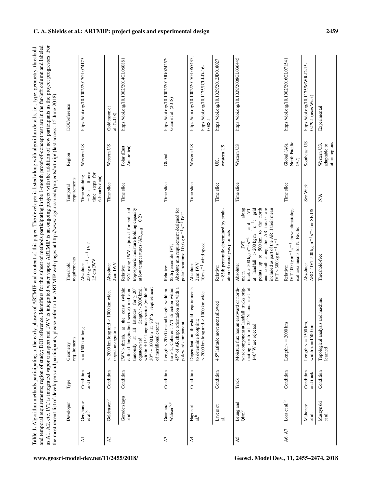| Experimental                                                                          | other regions<br>Western US,<br>adaptable to | $\stackrel{\triangle}{\geq}$                                           | Threshold-free                                                                                                                                                                                                                                                                                                                                   | Topological analysis and machine<br>learned                                                                                                                                                                                                                                                                                    | Condition              | Muszynski<br>et al.                         |                 |
|---------------------------------------------------------------------------------------|----------------------------------------------|------------------------------------------------------------------------|--------------------------------------------------------------------------------------------------------------------------------------------------------------------------------------------------------------------------------------------------------------------------------------------------------------------------------------------------|--------------------------------------------------------------------------------------------------------------------------------------------------------------------------------------------------------------------------------------------------------------------------------------------------------------------------------|------------------------|---------------------------------------------|-----------------|
| https://doi.org/10.1175/MWR-D-15-<br>0279.1 (uses Wick)                               | Southeast US                                 | See Wick                                                               | ARDT-IVT $500 \text{kg m}^{-1} \text{s}^{-1}$ for SE US<br>Absolute:                                                                                                                                                                                                                                                                             | Length $>$ = 1500 km,<br>width $\lt$ = 1500 km                                                                                                                                                                                                                                                                                 | Condition<br>and track | Mahoney<br>et al.                           |                 |
| https://doi.org/10.1002/2016GL071541                                                  | North Pacific<br>Global (A6),<br>(47)        | Time slice                                                             | IVT 100 $\text{kg m}^{-1}$ s <sup>-1</sup> above climatolog-<br>ical area means for N. Pacific<br>Relative:                                                                                                                                                                                                                                      | Length $> = 2000$ km                                                                                                                                                                                                                                                                                                           | Condition              | $\mathop{\hbox{Lora}}$ et al. $^{\hbox{b}}$ | A6, A7          |
| https://doi.org/10.1029/2008GL036445                                                  | Western US                                   | Time slice                                                             | along<br>IVT<br>$_{\rm grid}$<br>points up to 500 km to the north<br>and south along the AR tracks are<br>included as part of the AR if their mean<br>$>$ 200 kg m <sup>-1</sup> s <sup>-1</sup> ;<br>and<br>$\mathrm{track} > 500\,\mathrm{kg\,m^{-1}\,s^{-1}}$<br>$N T > 300 kg m^{-1} s^{-1}$<br>$\Gamma$<br>at landfall<br>Absolute:<br>mean | inating north of 25°N and east of<br>Moisture flux has an eastward or north-<br>ward component at landfall; tracks orig-<br>140° W are rejected                                                                                                                                                                                | Track                  | Leung and<br>Qian <sup>b</sup>              | AS              |
| https://doi.org/10.1029/2012JD018027                                                  | western US<br>UK,                            | Time slice                                                             | $\sim$ 85th percentile determined by evalu-<br>ation of reanalysis products<br>Relative:                                                                                                                                                                                                                                                         | allowed<br>4.5° latitude movement                                                                                                                                                                                                                                                                                              | Condition              | Lavers et<br>$\vec{a}$                      |                 |
| https://doi.org/10.1002/2015GL065435;<br>https://doi.org/10.1175/JCLI-D-16-<br>0088.1 | Western US                                   | Time slice                                                             | $10 \text{ m s}^{-1}$ wind speed<br>$2 \, \mathrm{cm} \, \mathrm{IVV}$<br>Absolute:                                                                                                                                                                                                                                                              | Dependent on threshold requirements<br>1000 km wide<br>to determine footprint;<br>$>$ 2000 km long and $<$                                                                                                                                                                                                                     | Condition              | Hagos et<br>al. <sup>b</sup>                | $\overline{A}4$ |
| https://doi.org/10.1002/2015JD024257;<br>Guan et al. (2018)                           | Global                                       | Time slice                                                             | Absolute min requirement designed for<br>polar locations: 100 kg m <sup>-1</sup> s <sup>-1</sup> IVT<br>85th percentile IVT;<br>Relative:                                                                                                                                                                                                        | $tio > 2$ ; Coherent IVT direction within<br>45° of AR shape orientation and with a<br>Length > 2000 km and length-width ra-<br>poleward component                                                                                                                                                                             | Condition              | Waliser <sup>b,c</sup><br>Guan and          | A <sub>3</sub>  |
| https://doi.org/10.1002/2014GL060881                                                  | Polar (East<br>Antarctica)                   | Time slice                                                             | aZN using IWV adjusted for reduced<br>tropospheric moisture holding capacity<br>at low temperatures ( $AR_{\text{coeff}} = 0.2$ )<br>Relative:                                                                                                                                                                                                   | coast (within<br>tinuously at all latitudes for $\geq 20^{\circ}$<br>$(\text{length} > 2000 \text{ km}),$<br>within $\pm 15^\circ$ longitude sector (width of<br>$30^{\circ} \sim 1000$ km at 70° S; requirement<br>defined longitudinal sector) and con-<br>at the<br>of meridional extent)<br>$IWV >$ thresh.<br>equatorward | Condition              | Gorodetskaya<br>et al.                      |                 |
| Goldenson et<br>al. (2018)                                                            | Western US                                   | Time slice                                                             | 2 cm IWV<br>Absolute:                                                                                                                                                                                                                                                                                                                            | .000 km wide,<br>$\vee$<br>$>$ 2000 km long and<br>object recognition                                                                                                                                                                                                                                                          | Condition              | Goldenson <sup>b</sup>                      | A2              |
| https://doi.org/10.1002/2017GL074175                                                  | Western US                                   | time steps for<br>(three<br>Time stitching<br>6-hourly data)<br>$-18h$ | $250 \text{ kg m}^{-1} \text{ s}^{-1} \text{ IVT}$<br>$1.5 \text{ cm}$ IWV<br>Absolute:                                                                                                                                                                                                                                                          | $>= 1500 \text{ km}$ long                                                                                                                                                                                                                                                                                                      | Condition<br>and track | Gershunov<br>et al. <sup>b</sup>            | $\overline{z}$  |
| <b>DOI</b> /reference                                                                 | Region                                       | requirements<br>Temporal                                               | requirements<br>Threshold                                                                                                                                                                                                                                                                                                                        | requirements<br>Geometry                                                                                                                                                                                                                                                                                                       | Type                   | Developer                                   |                 |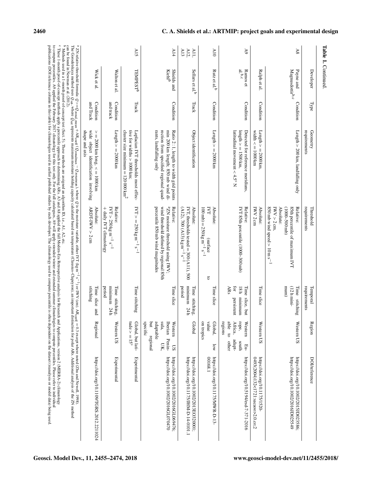|                       | Developer                                                      | Type                   | requirements<br>Geometry                                                                                                                         | requirements<br>Threshold                                                                                                                        | requirements<br>Temporal                                   | Region                                                                                              | <b>DOI</b> /reference                                                            |
|-----------------------|----------------------------------------------------------------|------------------------|--------------------------------------------------------------------------------------------------------------------------------------------------|--------------------------------------------------------------------------------------------------------------------------------------------------|------------------------------------------------------------|-----------------------------------------------------------------------------------------------------|----------------------------------------------------------------------------------|
| A8                    | Magnusdottir <sup>b,c</sup><br>Payne and                       | Condition              | Length $>$ 200 km, landfalling only                                                                                                              | 85th percentile of maximum IVT<br>850 mb wind speed ><br>$IWV > 2 cm$ ,<br>Absolute:<br>$(4m00S-0001)$<br>Relative:<br>$10 \,\mathrm{m\,s^{-1}}$ | (umu<br>$(12h \text{ min}$<br>Time stitching               | Western US                                                                                          | https://doi.org/10.1002/2015JD023586;<br>https://doi.org/10.1002/2016JD025549    |
|                       | Ralph et al.                                                   | Condition              | width $\epsilon = 1000$ km<br>Length $> = 2000$ km,                                                                                              | Absolute:<br>IWV 2 cm                                                                                                                            | Time slice                                                 | Western US                                                                                          | https://doi.org/10.1175/1520-<br>0493(2004)132<1721:sacaoo>2.0.co;2              |
| $\lambda$ 9           | $\begin{array}{c} \text{Ramos et}\\ \text{al.b.c} \end{array}$ | Condition              | latitudinal movement $< 4.5^{\circ}$ N<br>Detected for reference meridians,<br>length $>$ = 1500 km,                                             | IVT 85th percentile (1000–300 mb)<br>Relative:                                                                                                   | for<br>18h minimum<br>ARs<br>Time slice, but<br>persistent | able to<br>rope,<br>regions<br>Africa,<br>Western<br>adapt-<br>other<br>qnnos<br>Eu-                | https://doi.org/10.5194/esd-7-371-2016                                           |
| $\lambda$ 10          | Rutz et al. <sup>b</sup>                                       | Condition              | Length $> = 2000$ km                                                                                                                             | Absolute:<br>$100 \text{ mb} = 250 \text{ kg m}^{-1} \text{ s}^{-1}$<br>Ş<br>(surface<br>S                                                       | Time slice                                                 | on tropics<br>value<br>Global,<br>low                                                               | https://doi.org/10.1175/MWR-D-13-<br>00168.1                                     |
| $A12,$<br>AII,<br>A13 | Sellars et al. <sup>b</sup>                                    | Track                  | Object identification                                                                                                                            | Absolute:<br>$(A12)$ , 700 $(A13)$ kg m <sup>-1</sup> s <sup>-1</sup><br>IVT, thresholds tested = $300(A11), 500$                                | minimum<br>period<br>Time stitching,<br>24 h               | Global                                                                                              | https://doi.org/10.1002/2013EO320001;<br>https://doi.org/10.1175/JHM-D-14-0101.1 |
| A14                   | Shields and<br><b>Kiehl<sup>b</sup></b>                        | Condition              | rants, landfalling only<br>rection from specified regional quad-<br>min 200 km length; 850 mb wind di-<br>Ratio 2:1, length to width grid points | wind threshold defined by regional 85th<br>${}^{3}ZN$ moisture threshold using IWV;<br>percentile 850 mb wind magnitudes<br>Relative:            | I'ime slice                                                | specific<br>adaptable<br>sula,<br>$_{\rm int}$<br>Western<br>Iberian Penin-<br>regional<br>UK,<br>S | https://doi.org/10.1002/2016GL070470<br>https://doi.org/10.1002/2016GL069476;    |
| Al5                   | TEMPEST <sup>b</sup>                                           | Track                  | cluster size minimum = $120000 \text{ km}^2$<br>tive for widths $>$ 1000 km;<br>Laplacian IVT thresholds most effec-                             | $N T > = 250 \text{ kg m}^{-1} \text{ s}^{-1}$                                                                                                   | Time stitching                                             | Global, but lati-<br>$tude \geq 115^{\circ}$                                                        | Experimental                                                                     |
|                       | Walton et al.                                                  | and track<br>Condition | Length $> = 2000$ km                                                                                                                             | $N T > 250 \text{ kg m}^{-1} \text{ s}^{-1}$<br>Relative:<br>+ daily IVT climatology                                                             | unuun<br>period<br>Time stitching,<br>24h                  | Western US                                                                                          | Experimental                                                                     |
|                       | Wick et al.                                                    | and Track<br>Condition | wide object identification involving<br>shape and axis<br>$>$ = 2000 km long, $<$ = 1000 km                                                      | $ABDT-IWV > 2 cm$<br>Absolute:                                                                                                                   | stitching<br>Time slice and                                | Regional                                                                                            | https://doi.org/10.1109/TGRS.2012.2211024                                        |

c

These 1-month proof-oncept methods apply a percentile approach to determining ARs. A3 and A8 applied the full Modern-Era Retrospective analysis for Research and Applications, version 2 (MERRA-2) climatology publications (DOI reference column in this table) for climatologies used in earlier published studies by each developer. The climatology used to compute percentile is often dependent on the dataset (reanalysis or model dat to compute percentiles. A9 applied the February 2017 climatology for this test only. For the full catalogues, A9 will apply extended winter and extended summer climatologies to compute percentiles. Please refer to individu d.

# 2460 C. A. Shields et al.: ARTMIP: project goals and experimental design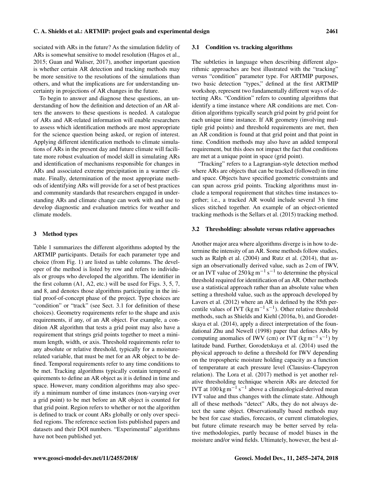sociated with ARs in the future? As the simulation fidelity of ARs is somewhat sensitive to model resolution (Hagos et al., 2015; Guan and Waliser, 2017), another important question is whether certain AR detection and tracking methods may be more sensitive to the resolutions of the simulations than others, and what the implications are for understanding uncertainty in projections of AR changes in the future.

To begin to answer and diagnose these questions, an understanding of how the definition and detection of an AR alters the answers to these questions is needed. A catalogue of ARs and AR-related information will enable researchers to assess which identification methods are most appropriate for the science question being asked, or region of interest. Applying different identification methods to climate simulations of ARs in the present day and future climate will facilitate more robust evaluation of model skill in simulating ARs and identification of mechanisms responsible for changes in ARs and associated extreme precipitation in a warmer climate. Finally, determination of the most appropriate methods of identifying ARs will provide for a set of best practices and community standards that researchers engaged in understanding ARs and climate change can work with and use to develop diagnostic and evaluation metrics for weather and climate models.

#### 3 Method types

Table 1 summarizes the different algorithms adopted by the ARTMIP participants. Details for each parameter type and choice (from Fig. 1) are listed as table columns. The developer of the method is listed by row and refers to individuals or groups who developed the algorithm. The identifier in the first column (A1, A2, etc.) will be used for Figs. 3, 5, 7, and 8, and denotes those algorithms participating in the initial proof-of-concept phase of the project. Type choices are "condition" or "track" (see Sect. 3.1 for definition of these choices). Geometry requirements refer to the shape and axis requirements, if any, of an AR object. For example, a condition AR algorithm that tests a grid point may also have a requirement that strings grid points together to meet a minimum length, width, or axis. Threshold requirements refer to any absolute or relative threshold, typically for a moisturerelated variable, that must be met for an AR object to be defined. Temporal requirements refer to any time conditions to be met. Tracking algorithms typically contain temporal requirements to define an AR object as it is defined in time and space. However, many condition algorithms may also specify a minimum number of time instances (non-varying over a grid point) to be met before an AR object is counted for that grid point. Region refers to whether or not the algorithm is defined to track or count ARs globally or only over specified regions. The reference section lists published papers and datasets and their DOI numbers. "Experimental" algorithms have not been published yet.

#### 3.1 Condition vs. tracking algorithms

The subtleties in language when describing different algorithmic approaches are best illustrated with the "tracking" versus "condition" parameter type. For ARTMIP purposes, two basic detection "types," defined at the first ARTMIP workshop, represent two fundamentally different ways of detecting ARs. "Condition" refers to counting algorithms that identify a time instance where AR conditions are met. Condition algorithms typically search grid point by grid point for each unique time instance. If AR geometry (involving multiple grid points) and threshold requirements are met, then an AR condition is found at that grid point and that point in time. Condition methods may also have an added temporal requirement, but this does not impact the fact that conditions are met at a unique point in space (grid point).

"Tracking" refers to a Lagrangian-style detection method where ARs are objects that can be tracked (followed) in time and space. Objects have specified geometric constraints and can span across grid points. Tracking algorithms must include a temporal requirement that stitches time instances together; i.e., a tracked AR would include several 3 h time slices stitched together. An example of an object-oriented tracking methods is the Sellars et al. (2015) tracking method.

## 3.2 Thresholding: absolute versus relative approaches

Another major area where algorithms diverge is in how to determine the intensity of an AR. Some methods follow studies, such as Ralph et al. (2004) and Rutz et al. (2014), that assign an observationally derived value, such as 2 cm of IWV, or an IVT value of 250 kg m<sup>-1</sup> s<sup>-1</sup> to determine the physical threshold required for identification of an AR. Other methods use a statistical approach rather than an absolute value when setting a threshold value, such as the approach developed by Lavers et al. (2012) where an AR is defined by the 85th percentile values of IVT ( $kg \text{ m}^{-1} \text{ s}^{-1}$ ). Other relative threshold methods, such as Shields and Kiehl (2016a, b), and Gorodetskaya et al. (2014), apply a direct interpretation of the foundational Zhu and Newell (1998) paper that defines ARs by computing anomalies of IWV (cm) or IVT ( $\text{kg m}^{-1} \text{ s}^{-1}$ ) by latitude band. Further, Gorodetskaya et al. (2014) used the physical approach to define a threshold for IWV depending on the tropospheric moisture holding capacity as a function of temperature at each pressure level (Clausius–Clapeyron relation). The Lora et al. (2017) method is yet another relative thresholding technique wherein ARs are detected for IVT at  $100 \text{ kg m}^{-1} \text{ s}^{-1}$  above a climatological-derived mean IVT value and thus changes with the climate state. Although all of these methods "detect" ARs, they do not always detect the same object. Observationally based methods may be best for case studies, forecasts, or current climatologies, but future climate research may be better served by relative methodologies, partly because of model biases in the moisture and/or wind fields. Ultimately, however, the best al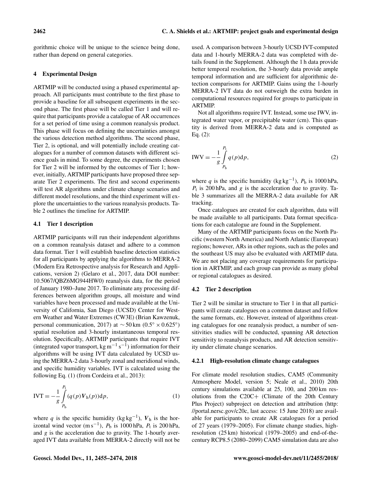gorithmic choice will be unique to the science being done, rather than depend on general categories.

## 4 Experimental Design

ARTMIP will be conducted using a phased experimental approach. All participants must contribute to the first phase to provide a baseline for all subsequent experiments in the second phase. The first phase will be called Tier 1 and will require that participants provide a catalogue of AR occurrences for a set period of time using a common reanalysis product. This phase will focus on defining the uncertainties amongst the various detection method algorithms. The second phase, Tier 2, is optional, and will potentially include creating catalogues for a number of common datasets with different science goals in mind. To some degree, the experiments chosen for Tier 2 will be informed by the outcomes of Tier 1; however, initially, ARTMIP participants have proposed three separate Tier 2 experiments. The first and second experiments will test AR algorithms under climate change scenarios and different model resolutions, and the third experiment will explore the uncertainties to the various reanalysis products. Table 2 outlines the timeline for ARTMIP.

## 4.1 Tier 1 description

ARTMIP participants will run their independent algorithms on a common reanalysis dataset and adhere to a common data format. Tier 1 will establish baseline detection statistics for all participants by applying the algorithms to MERRA-2 (Modern Era Retrospective analysis for Research and Applications, version 2) (Gelaro et al., 2017, data DOI number: 10.5067/QBZ6MG944HW0) reanalysis data, for the period of January 1980–June 2017. To eliminate any processing differences between algorithm groups, all moisture and wind variables have been processed and made available at the University of California, San Diego (UCSD) Center for Western Weather and Water Extremes (CW3E) (Brian Kawzenuk, personal communication, 2017) at  $\sim$  50 km (0.5° × 0.625°) spatial resolution and 3-hourly instantaneous temporal resolution. Specifically, ARTMIP participants that require IVT (integrated vapor transport, kg m<sup>-1</sup> s<sup>-1</sup>) information for their algorithms will be using IVT data calculated by UCSD using the MERRA-2 data 3-hourly zonal and meridional winds, and specific humidity variables. IVT is calculated using the following Eq. (1) (from Cordeira et al., 2013):

$$
IVT = -\frac{1}{g} \int_{P_b}^{P_t} (q(p)V_h(p))dp,
$$
\n(1)

where q is the specific humidity (kg kg<sup>-1</sup>),  $V_h$  is the horizontal wind vector  $(m s^{-1})$ ,  $P_b$  is 1000 hPa,  $P_t$  is 200 hPa, and  $g$  is the acceleration due to gravity. The 1-hourly averaged IVT data available from MERRA-2 directly will not be used. A comparison between 3-hourly UCSD IVT-computed data and 1-hourly MERRA-2 data was completed with details found in the Supplement. Although the 1 h data provide better temporal resolution, the 3-hourly data provide ample temporal information and are sufficient for algorithmic detection comparisons for ARTMIP. Gains using the 1-hourly MERRA-2 IVT data do not outweigh the extra burden in computational resources required for groups to participate in ARTMIP.

Not all algorithms require IVT. Instead, some use IWV, integrated water vapor, or precipitable water (cm). This quantity is derived from MERRA-2 data and is computed as Eq. (2):

$$
IWV = -\frac{1}{g} \int_{P_b}^{P_t} q(p) dp,
$$
\n(2)

where q is the specific humidity (kg kg<sup>-1</sup>),  $P_b$  is 1000 hPa,  $P_t$  is 200 hPa, and g is the acceleration due to gravity. Table 3 summarizes all the MERRA-2 data available for AR tracking.

Once catalogues are created for each algorithm, data will be made available to all participants. Data format specifications for each catalogue are found in the Supplement.

Many of the ARTMIP participants focus on the North Pacific (western North America) and North Atlantic (European) regions; however, ARs in other regions, such as the poles and the southeast US may also be evaluated with ARTMIP data. We are not placing any coverage requirements for participation in ARTMIP, and each group can provide as many global or regional catalogues as desired.

#### 4.2 Tier 2 description

Tier 2 will be similar in structure to Tier 1 in that all participants will create catalogues on a common dataset and follow the same formats, etc. However, instead of algorithms creating catalogues for one reanalysis product, a number of sensitivities studies will be conducted, spanning AR detection sensitivity to reanalysis products, and AR detection sensitivity under climate change scenarios.

#### 4.2.1 High-resolution climate change catalogues

For climate model resolution studies, CAM5 (Community Atmosphere Model, version 5; Neale et al., 2010) 20th century simulations available at 25, 100, and 200 km resolutions from the C20C+ (Climate of the 20th Century Plus Project) subproject on detection and attribution (http: //portal.nersc.gov/c20c, last access: 15 June 2018) are available for participants to create AR catalogues for a period of 27 years (1979–2005). For climate change studies, highresolution (25 km) historical (1979–2005) and end-of-thecentury RCP8.5 (2080–2099) CAM5 simulation data are also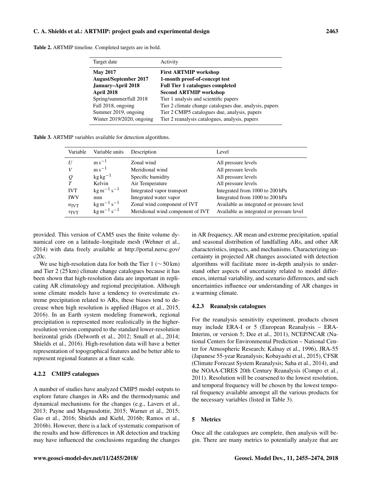| Target date                  | Activity                                               |
|------------------------------|--------------------------------------------------------|
| <b>May 2017</b>              | <b>First ARTMIP workshop</b>                           |
| <b>August/September 2017</b> | 1-month proof-of-concept test                          |
| January-April 2018           | <b>Full Tier 1 catalogues completed</b>                |
| April 2018                   | <b>Second ARTMIP workshop</b>                          |
| Spring/summer/fall 2018      | Tier 1 analysis and scientific papers                  |
| Fall 2018, ongoing           | Tier 2 climate change catalogues due, analysis, papers |
| Summer 2019, ongoing         | Tier 2 CMIP5 catalogues due, analysis, papers          |
| Winter $2019/2020$ , ongoing | Tier 2 reanalysis catalogues, analysis, papers         |

Table 3. ARTMIP variables available for detection algorithms.

| Variable         | Variable units                    | Description                      | Level                                     |
|------------------|-----------------------------------|----------------------------------|-------------------------------------------|
| $\boldsymbol{U}$ | $\mathrm{m}\,\mathrm{s}^{-1}$     | Zonal wind                       | All pressure levels                       |
| V                | $\mathrm{m}\,\mathrm{s}^{-1}$     | Meridional wind                  | All pressure levels                       |
| Q                | $kg\,kg^{-1}$                     | Specific humidity                | All pressure levels                       |
| T                | Kelvin                            | Air Temperature                  | All pressure levels                       |
| <b>IVT</b>       | $\text{kg m}^{-1} \text{s}^{-1}$  | Integrated vapor transport       | Integrated from 1000 to 200 hPa           |
| <b>IWV</b>       | mm                                | Integrated water vapor           | Integrated from 1000 to 200 hPa           |
| $u_{\text{IVT}}$ | $\text{kg m}^{-1} \text{s}^{-1}$  | Zonal wind component of IVT      | Available as integrated or pressure level |
| $v_{\text{IVT}}$ | $\text{kg m}^{-1} \text{ s}^{-1}$ | Meridional wind component of IVT | Available as integrated or pressure level |

provided. This version of CAM5 uses the finite volume dynamical core on a latitude–longitude mesh (Wehner et al., 2014) with data freely available at http://portal.nersc.gov/ c20c.

We use high-resolution data for both the Tier 1 ( $\sim$  50 km) and Tier 2 (25 km) climate change catalogues because it has been shown that high-resolution data are important in replicating AR climatology and regional precipitation. Although some climate models have a tendency to overestimate extreme precipitation related to ARs, these biases tend to decrease when high resolution is applied (Hagos et al., 2015, 2016). In an Earth system modeling framework, regional precipitation is represented more realistically in the higherresolution version compared to the standard lower-resolution horizontal grids (Delworth et al., 2012; Small et al., 2014; Shields et al., 2016). High-resolution data will have a better representation of topographical features and be better able to represent regional features at a finer scale.

#### 4.2.2 CMIP5 catalogues

A number of studies have analyzed CMIP5 model outputs to explore future changes in ARs and the thermodynamic and dynamical mechanisms for the changes (e.g., Lavers et al., 2013; Payne and Magnusdottir, 2015; Warner et al., 2015; Gao et al., 2016; Shields and Kiehl, 2016b; Ramos et al., 2016b). However, there is a lack of systematic comparison of the results and how differences in AR detection and tracking may have influenced the conclusions regarding the changes

in AR frequency, AR mean and extreme precipitation, spatial and seasonal distribution of landfalling ARs, and other AR characteristics, impacts, and mechanisms. Characterizing uncertainty in projected AR changes associated with detection algorithms will facilitate more in-depth analysis to understand other aspects of uncertainty related to model differences, internal variability, and scenario differences, and such uncertainties influence our understanding of AR changes in a warming climate.

#### 4.2.3 Reanalysis catalogues

For the reanalysis sensitivity experiment, products chosen may include ERA-I or 5 (European Reanalysis – ERA-Interim, or version 5; Dee et al., 2011), NCEP/NCAR (National Centers for Environmental Prediction – National Center for Atmospheric Research; Kalnay et al., 1996), JRA-55 (Japanese 55-year Reanalysis; Kobayashi et al., 2015), CFSR (Climate Forecast System Reanalysis; Saha et al., 2014), and the NOAA-CIRES 20th Century Reanalysis (Compo et al., 2011). Resolution will be coarsened to the lowest resolution, and temporal frequency will be chosen by the lowest temporal frequency available amongst all the various products for the necessary variables (listed in Table 3).

#### 5 Metrics

Once all the catalogues are complete, then analysis will begin. There are many metrics to potentially analyze that are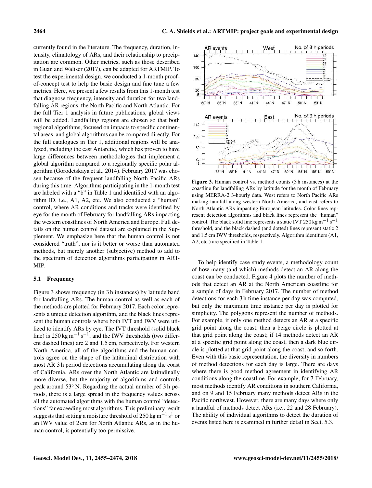currently found in the literature. The frequency, duration, intensity, climatology of ARs, and their relationship to precipitation are common. Other metrics, such as those described in Guan and Waliser (2017), can be adapted for ARTMIP. To test the experimental design, we conducted a 1-month proofof-concept test to help the basic design and fine tune a few metrics. Here, we present a few results from this 1-month test that diagnose frequency, intensity and duration for two landfalling AR regions, the North Pacific and North Atlantic. For the full Tier 1 analysis in future publications, global views will be added. Landfalling regions are chosen so that both regional algorithms, focused on impacts to specific continental areas, and global algorithms can be compared directly. For the full catalogues in Tier 1, additional regions will be analyzed, including the east Antarctic, which has proven to have large differences between methodologies that implement a global algorithm compared to a regionally specific polar algorithm (Gorodetskaya et al., 2014). February 2017 was chosen because of the frequent landfalling North Pacific ARs during this time. Algorithms participating in the 1-month test are labeled with a "b" in Table 1 and identified with an algorithm ID, i.e., A1, A2, etc. We also conducted a "human" control, where AR conditions and tracks were identified by eye for the month of February for landfalling ARs impacting the western coastlines of North America and Europe. Full details on the human control dataset are explained in the Supplement. We emphasize here that the human control is not considered "truth", nor is it better or worse than automated methods, but merely another (subjective) method to add to the spectrum of detection algorithms participating in ART-MIP.

#### 5.1 Frequency

Figure 3 shows frequency (in 3 h instances) by latitude band for landfalling ARs. The human control as well as each of the methods are plotted for February 2017. Each color represents a unique detection algorithm, and the black lines represent the human controls where both IVT and IWV were utilized to identify ARs by eye. The IVT threshold (solid black line) is  $250 \text{ kg m}^{-1} \text{ s}^{-1}$ , and the IWV thresholds (two different dashed lines) are 2 and 1.5 cm, respectively. For western North America, all of the algorithms and the human controls agree on the shape of the latitudinal distribution with most AR 3 h period detections accumulating along the coast of California. ARs over the North Atlantic are latitudinally more diverse, but the majority of algorithms and controls peak around 53◦ N. Regarding the actual number of 3 h periods, there is a large spread in the frequency values across all the automated algorithms with the human control "detections" far exceeding most algorithms. This preliminary result suggests that setting a moisture threshold of 250 kg m<sup>-1</sup> s<sup>1</sup> or an IWV value of 2 cm for North Atlantic ARs, as in the human control, is potentially too permissive.



Figure 3. Human control vs. method counts (3 h instances) at the coastline for landfalling ARs by latitude for the month of February using MERRA-2 3-hourly data. West refers to North Pacific ARs making landfall along western North America, and east refers to North Atlantic ARs impacting European latitudes. Color lines represent detection algorithms and black lines represent the "human" control. The black solid line represents a static IVT 250 kg m<sup>-1</sup> s<sup>-1</sup> threshold, and the black dashed (and dotted) lines represent static 2 and 1.5 cm IWV thresholds, respectively. Algorithm identifiers (A1, A2, etc.) are specified in Table 1.

To help identify case study events, a methodology count of how many (and which) methods detect an AR along the coast can be conducted. Figure 4 plots the number of methods that detect an AR at the North American coastline for a sample of days in February 2017. The number of method detections for each 3 h time instance per day was computed, but only the maximum time instance per day is plotted for simplicity. The polygons represent the number of methods. For example, if only one method detects an AR at a specific grid point along the coast, then a beige circle is plotted at that grid point along the coast; if 14 methods detect an AR at a specific grid point along the coast, then a dark blue circle is plotted at that grid point along the coast, and so forth. Even with this basic representation, the diversity in numbers of method detections for each day is large. There are days where there is good method agreement in identifying AR conditions along the coastline. For example, for 7 February, most methods identify AR conditions in southern California, and on 9 and 15 February many methods detect ARs in the Pacific northwest. However, there are many days where only a handful of methods detect ARs (i.e., 22 and 28 February). The ability of individual algorithms to detect the duration of events listed here is examined in further detail in Sect. 5.3.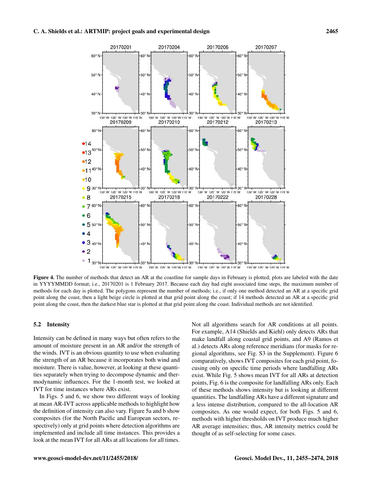

Figure 4. The number of methods that detect an AR at the coastline for sample days in February is plotted; plots are labeled with the date in YYYYMMDD format; i.e., 20170201 is 1 February 2017. Because each day had eight associated time steps, the maximum number of methods for each day is plotted. The polygons represent the number of methods; i.e., if only one method detected an AR at a specific grid point along the coast, then a light beige circle is plotted at that grid point along the coast; if 14 methods detected an AR at a specific grid point along the coast, then the darkest blue star is plotted at that grid point along the coast. Individual methods are not identified.

# 5.2 Intensity

Intensity can be defined in many ways but often refers to the amount of moisture present in an AR and/or the strength of the winds. IVT is an obvious quantity to use when evaluating the strength of an AR because it incorporates both wind and moisture. There is value, however, at looking at these quantities separately when trying to decompose dynamic and thermodynamic influences. For the 1-month test, we looked at IVT for time instances where ARs exist.

In Figs. 5 and 6, we show two different ways of looking at mean AR-IVT across applicable methods to highlight how the definition of intensity can also vary. Figure 5a and b show composites (for the North Pacific and European sectors, respectively) only at grid points where detection algorithms are implemented and include all time instances. This provides a look at the mean IVT for all ARs at all locations for all times.

Not all algorithms search for AR conditions at all points. For example, A14 (Shields and Kiehl) only detects ARs that make landfall along coastal grid points, and A9 (Ramos et al.) detects ARs along reference meridians (for masks for regional algorithms, see Fig. S3 in the Supplement). Figure 6 comparatively, shows IVT composites for each grid point, focusing only on specific time periods where landfalling ARs exist. While Fig. 5 shows mean IVT for all ARs at detection points, Fig. 6 is the composite for landfalling ARs only. Each of these methods shows intensity but is looking at different quantities. The landfalling ARs have a different signature and a less intense distribution, compared to the all-location AR composites. As one would expect, for both Figs. 5 and 6, methods with higher thresholds on IVT produce much higher AR average intensities; thus, AR intensity metrics could be thought of as self-selecting for some cases.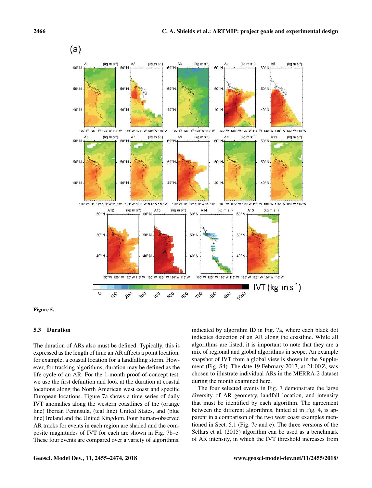

#### Figure 5.

## 5.3 Duration

The duration of ARs also must be defined. Typically, this is expressed as the length of time an AR affects a point location, for example, a coastal location for a landfalling storm. However, for tracking algorithms, duration may be defined as the life cycle of an AR. For the 1-month proof-of-concept test, we use the first definition and look at the duration at coastal locations along the North American west coast and specific European locations. Figure 7a shows a time series of daily IVT anomalies along the western coastlines of the (orange line) Iberian Peninsula, (teal line) United States, and (blue line) Ireland and the United Kingdom. Four human-observed AR tracks for events in each region are shaded and the composite magnitudes of IVT for each are shown in Fig. 7b–e. These four events are compared over a variety of algorithms, indicated by algorithm ID in Fig. 7a, where each black dot indicates detection of an AR along the coastline. While all algorithms are listed, it is important to note that they are a mix of regional and global algorithms in scope. An example snapshot of IVT from a global view is shown in the Supplement (Fig. S4). The date 19 February 2017, at 21:00 Z, was chosen to illustrate individual ARs in the MERRA-2 dataset during the month examined here.

The four selected events in Fig. 7 demonstrate the large diversity of AR geometry, landfall location, and intensity that must be identified by each algorithm. The agreement between the different algorithms, hinted at in Fig. 4, is apparent in a comparison of the two west coast examples mentioned in Sect. 5.1 (Fig. 7c and e). The three versions of the Sellars et al. (2015) algorithm can be used as a benchmark of AR intensity, in which the IVT threshold increases from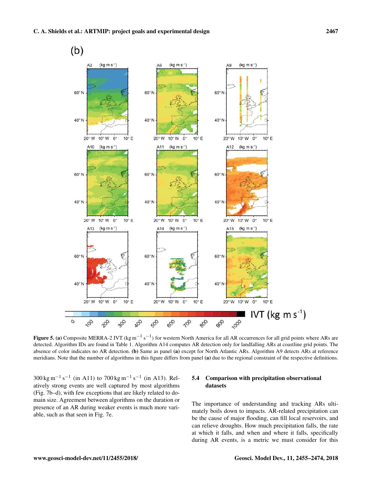

Figure 5. (a) Composite MERRA-2 IVT ( $kg \, \text{m}^{-1} \, \text{s}^{-1}$ ) for western North America for all AR occurrences for all grid points where ARs are detected. Algorithm IDs are found in Table 1. Algorithm A14 computes AR detection only for landfalling ARs at coastline grid points. The absence of color indicates no AR detection. (b) Same as panel (a) except for North Atlantic ARs. Algorithm A9 detects ARs at reference meridians. Note that the number of algorithms in this figure differs from panel (a) due to the regional constraint of the respective definitions.

 $300 \text{ kg m}^{-1} \text{ s}^{-1}$  (in A11) to  $700 \text{ kg m}^{-1} \text{ s}^{-1}$  (in A13). Relatively strong events are well captured by most algorithms (Fig. 7b–d), with few exceptions that are likely related to domain size. Agreement between algorithms on the duration or presence of an AR during weaker events is much more variable, such as that seen in Fig. 7e.

# 5.4 Comparison with precipitation observational datasets

The importance of understanding and tracking ARs ultimately boils down to impacts. AR-related precipitation can be the cause of major flooding, can fill local reservoirs, and can relieve droughts. How much precipitation falls, the rate at which it falls, and when and where it falls, specifically during AR events, is a metric we must consider for this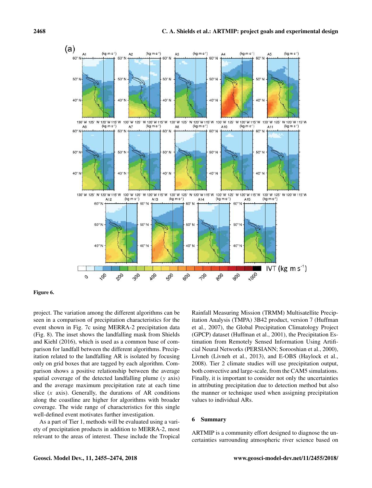

#### Figure 6.

project. The variation among the different algorithms can be seen in a comparison of precipitation characteristics for the event shown in Fig. 7c using MERRA-2 precipitation data (Fig. 8). The inset shows the landfalling mask from Shields and Kiehl (2016), which is used as a common base of comparison for landfall between the different algorithms. Precipitation related to the landfalling AR is isolated by focusing only on grid boxes that are tagged by each algorithm. Comparison shows a positive relationship between the average spatial coverage of the detected landfalling plume (y axis) and the average maximum precipitation rate at each time slice  $(x \text{ axis})$ . Generally, the durations of AR conditions along the coastline are higher for algorithms with broader coverage. The wide range of characteristics for this single well-defined event motivates further investigation.

As a part of Tier 1, methods will be evaluated using a variety of precipitation products in addition to MERRA-2, most relevant to the areas of interest. These include the Tropical Rainfall Measuring Mission (TRMM) Multisatellite Precipitation Analysis (TMPA) 3B42 product, version 7 (Huffman et al., 2007), the Global Precipitation Climatology Project (GPCP) dataset (Huffman et al., 2001), the Precipitation Estimation from Remotely Sensed Information Using Artificial Neural Networks (PERSIANN; Sorooshian et al., 2000), Livneh (Livneh et al., 2013), and E-OBS (Haylock et al., 2008). Tier 2 climate studies will use precipitation output, both convective and large-scale, from the CAM5 simulations. Finally, it is important to consider not only the uncertainties in attributing precipitation due to detection method but also the manner or technique used when assigning precipitation values to individual ARs.

#### 6 Summary

ARTMIP is a community effort designed to diagnose the uncertainties surrounding atmospheric river science based on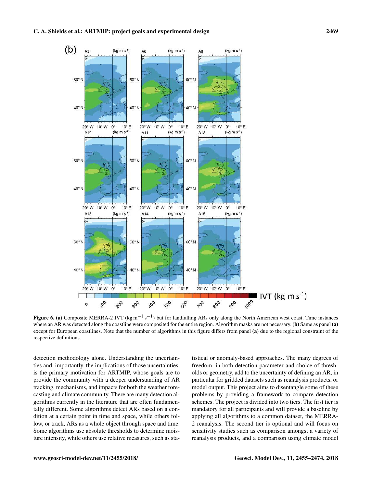

Figure 6. (a) Composite MERRA-2 IVT ( $\text{kg m}^{-1} \text{s}^{-1}$ ) but for landfalling ARs only along the North American west coast. Time instances where an AR was detected along the coastline were composited for the entire region. Algorithm masks are not necessary. (b) Same as panel (a) except for European coastlines. Note that the number of algorithms in this figure differs from panel (a) due to the regional constraint of the respective definitions.

detection methodology alone. Understanding the uncertainties and, importantly, the implications of those uncertainties, is the primary motivation for ARTMIP, whose goals are to provide the community with a deeper understanding of AR tracking, mechanisms, and impacts for both the weather forecasting and climate community. There are many detection algorithms currently in the literature that are often fundamentally different. Some algorithms detect ARs based on a condition at a certain point in time and space, while others follow, or track, ARs as a whole object through space and time. Some algorithms use absolute thresholds to determine moisture intensity, while others use relative measures, such as statistical or anomaly-based approaches. The many degrees of freedom, in both detection parameter and choice of thresholds or geometry, add to the uncertainty of defining an AR, in particular for gridded datasets such as reanalysis products, or model output. This project aims to disentangle some of these problems by providing a framework to compare detection schemes. The project is divided into two tiers. The first tier is mandatory for all participants and will provide a baseline by applying all algorithms to a common dataset, the MERRA-2 reanalysis. The second tier is optional and will focus on sensitivity studies such as comparison amongst a variety of reanalysis products, and a comparison using climate model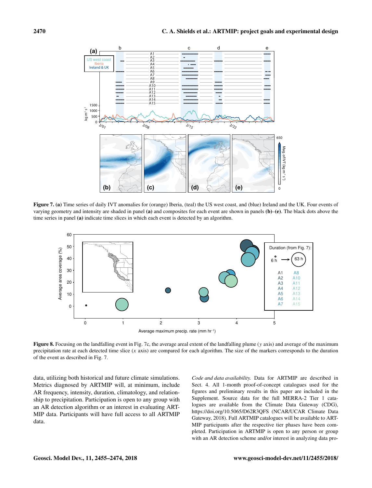

Figure 7. (a) Time series of daily IVT anomalies for (orange) Iberia, (teal) the US west coast, and (blue) Ireland and the UK. Four events of varying geometry and intensity are shaded in panel (a) and composites for each event are shown in panels (b)–(e). The black dots above the time series in panel (a) indicate time slices in which each event is detected by an algorithm.



Average maximum precip. rate (mm hr-1)

**Figure 8.** Focusing on the landfalling event in Fig. 7c, the average areal extent of the landfalling plume ( $\gamma$  axis) and average of the maximum precipitation rate at each detected time slice  $(x \text{ axis})$  are compared for each algorithm. The size of the markers corresponds to the duration of the event as described in Fig. 7.

data, utilizing both historical and future climate simulations. Metrics diagnosed by ARTMIP will, at minimum, include AR frequency, intensity, duration, climatology, and relationship to precipitation. Participation is open to any group with an AR detection algorithm or an interest in evaluating ART-MIP data. Participants will have full access to all ARTMIP data.

*Code and data availability.* Data for ARTMIP are described in Sect. 4. All 1-month proof-of-concept catalogues used for the figures and preliminary results in this paper are included in the Supplement. Source data for the full MERRA-2 Tier 1 catalogues are available from the Climate Data Gateway (CDG), https://doi.org/10.5065/D62R3QFS (NCAR/UCAR Climate Data Gateway, 2018). Full ARTMIP catalogues will be available to ART-MIP participants after the respective tier phases have been completed. Participation in ARTMIP is open to any person or group with an AR detection scheme and/or interest in analyzing data pro-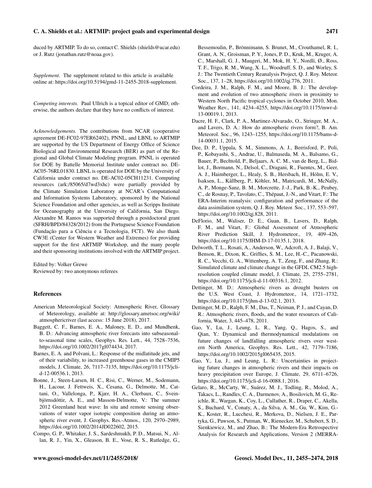#### C. A. Shields et al.: ARTMIP: project goals and experimental design 2471

duced by ARTMIP. To do so, contact C. Shields (shields@ucar.edu) or J. Rutz (jonathan.rutz@noaa.gov).

*Supplement.* The supplement related to this article is available online at: https://doi.org/10.5194/gmd-11-2455-2018-supplement.

*Competing interests.* Paul Ullrich is a topical editor of GMD; otherwise, the authors declare that they have no conflicts of interest.

*Acknowledgements.* The contributions from NCAR (cooperative agreement DE-FC02-97ER62402), PNNL, and LBNL to ARTMIP are supported by the US Department of Energy Office of Science Biological and Environmental Research (BER) as part of the Regional and Global Climate Modeling program. PNNL is operated for DOE by Battelle Memorial Institute under contract no. DE-AC05-76RL01830. LBNL is operated for DOE by the University of California under contract no. DE-AC02-05CH11231. Computing resources (ark:/85065/d7wd3xhc) were partially provided by the Climate Simulation Laboratory at NCAR's Computational and Information Systems Laboratory, sponsored by the National Science Foundation and other agencies, as well as Scripps Institute for Oceanography at the University of California, San Diego. Alexandre M. Ramos was supported through a postdoctoral grant (SFRH/BPD/84328/2012) from the Portuguese Science Foundation (Fundação para a Ciência e a Tecnologia, FCT). We also thank CW3E (Center for Western Weather and Extremes) for providing support for the first ARTMIP Workshop, and the many people and their sponsoring institutions involved with the ARTMIP project.

Edited by: Volker Grewe Reviewed by: two anonymous referees

#### References

- American Meteorological Society: Atmospheric River, Glossary of Meteorology, available at: http://glossary.ametsoc.org/wiki/ atmosphericriver (last access: 15 June 2018), 2017.
- Baggett, C. F., Barnes, E. A., Maloney, E. D., and Mundhenk, B. D.: Advancing atmospheric river forecasts into subseasonalto-seasonal time scales, Geophys. Res. Lett., 44, 7528–7536, https://doi.org/10.1002/2017gl074434, 2017.
- Barnes, E. A. and Polvani, L.: Response of the midlatitude jets, and of their variability, to increased greenhouse gases in the CMIP5 models, J. Climate, 26, 7117–7135, https://doi.org/10.1175/jclid-12-00536.1, 2013.
- Bonne, J., Steen-Larsen, H. C., Risi, C., Werner, M., Sodemann, H., Lacour, J. Fettweis, X., Cesana, G., Delmotte, M., Cattani, O., Vallelonga, P., Kjær, H. A., Clerbaux, C., Sveinbjörnsdóttir, A. E., and Masson-Delmotte, V.: The summer 2012 Greenland heat wave: In situ and remote sensing observations of water vapor isotopic composition during an atmospheric river event, J. Geophys. Res.-Atmos., 120, 2970–2989, https://doi.org/10.1002/2014JD022602, 2015.
- Compo, G. P., Whitaker, J. S., Sardeshmukh, P. D., Matsui, N., Allan, R. J., Yin, X., Gleason, B. E., Vose, R. S., Rutledge, G.,

Bessemoulin, P., Brönnimann, S. Brunet, M., Crouthamel, R. I., Grant, A. N., Groisman, P. Y., Jones, P. D., Kruk, M., Kruger, A. C., Marshall, G. J., Maugeri, M., Mok, H. Y., Nordli, Ø., Ross, T. F., Trigo, R. M., Wang, X. L., Woodruff, S. D., and Worley, S. J.: The Twentieth Century Reanalysis Project, Q. J. Roy. Meteor. Soc., 137, 1–28, https://doi.org/10.1002/qj.776, 2011.

- Cordeira, J. M., Ralph, F. M., and Moore, B. J.: The development and evolution of two atmospheric rivers in proximity to Western North Pacific tropical cyclones in October 2010, Mon. Weather Rev., 141, 4234–4255, https://doi.org/10.1175/mwr-d-13-00019.1, 2013.
- Dacre, H. F., Clark, P. A., Martinez-Alvarado, O., Stringer, M. A., and Lavers, D. A.: How do atmospheric rivers form?, B. Am. Meteorol. Soc., 96, 1243–1255, https://doi.org/10.1175/bams-d-14-00031.1, 2015.
- Dee, D. P., Uppala, S. M., Simmons, A. J., Berrisford, P., Poli, P., Kobayashi, S., Andrae, U., Balmaseda, M. A., Balsamo, G., Bauer, P., Bechtold, P., Beljaars, A. C. M., van de Berg, L., Bidlot, J., Bormann, N., Delsol, C., Dragani, R., Fuentes, M., Geer, A. J., Haimberger, L., Healy, S. B., Hersbach, H., Hólm, E. V., Isaksen, L., Kållberg, P., Köhler, M., Matricardi, M., McNally, A. P., Monge-Sanz, B. M., Morcrette, J.-J., Park, B.-K., Peubey, C., de Rosnay, P., Tavolato, C., Thépaut, J.-N., and Vitart, F.: The ERA-Interim reanalysis: configuration and performance of the data assimilation system, Q. J. Roy. Meteor. Soc., 137, 553–597, https://doi.org/10.1002/qj.828, 2011.
- DeFlorio, M., Waliser, D. E., Guan, B., Lavers, D., Ralph, F. M., and Vitart, F.: Global Assessment of Atmospheric River Prediction Skill, J. Hydrometeor., 19, 409–426, https://doi.org/10.1175/JHM-D-17-0135.1, 2018.
- Delworth, T. L., Rosati, A., Anderson, W., Adcroft, A. J., Balaji, V., Benson, R., Dixon, K., Griffies, S. M., Lee, H.-C., Pacanowski, R. C., Vecchi, G. A., Wittenberg, A. T., Zeng, F., and Zhang, R.: Simulated climate and climate change in the GFDL CM2.5 highresolution coupled climate model, J. Climate, 25, 2755–2781, https://doi.org/10.1175/jcli-d-11-00316.1, 2012.
- Dettinger, M. D.: Atmospheric rivers as drought busters on the U.S. West Coast, J. Hydrometeor., 14, 1721–1732, https://doi.org/10.1175/jhm-d-13-02.1, 2013.
- Dettinger, M. D., Ralph, F. M., Das, T., Neiman, P. J., and Cayan, D. R.: Atmospheric rivers, floods, and the water resources of California, Water, 3, 445–478, 2011.
- Gao, Y., Lu, J., Leung, L. R., Yang, Q., Hagos, S., and Qian, Y.: Dynamical and thermodynamical modulations on future changes of landfalling atmospheric rivers over western North America, Geophys. Res. Lett., 42, 7179–7186, https://doi.org/10.1002/2015gl065435, 2015.
- Gao, Y., Lu, J., and Leung, L. R.: Uncertainties in projecting future changes in atmospheric rivers and their impacts on heavy precipitation over Europe, J. Climate, 29, 6711–6726, https://doi.org/10.1175/jcli-d-16-0088.1, 2016.
- Gelaro, R., McCarty, W., Suárez, M. J., Todling, R., Molod, A., Takacs, L., Randles, C. A., Darmenov, A., Bosilovich, M. G., Reichle, R., Wargan, K., Coy, L., Cullather, R., Draper, C., Akella, S., Buchard, V., Conaty, A., da Silva, A. M., Gu, W., Kim, G.- K., Koster, R., Lucchesi, R., Merkova, D., Nielsen, J. E., Partyka, G., Pawson, S., Putman, W., Rienecker, M., Schubert, S. D., Sienkiewicz, M., and Zhao, B.: The Modern-Era Retrospective Analysis for Research and Applications, Version 2 (MERRA-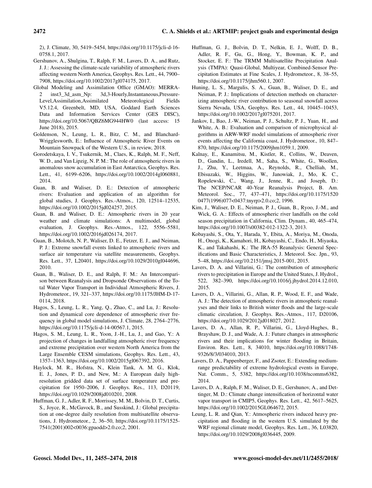2), J. Climate, 30, 5419–5454, https://doi.org/10.1175/jcli-d-16- 0758.1, 2017.

- Gershunov, A., Shulgina, T., Ralph, F. M., Lavers, D. A., and Rutz, J. J.: Assessing the climate-scale variability of atmospheric rivers affecting western North America, Geophys. Res. Lett., 44, 7900– 7908, https://doi.org/10.1002/2017gl074175, 2017.
- Global Modeling and Assimilation Office (GMAO): MERRA-2 inst3\_3d\_asm\_Np: 3d,3-Hourly,Instantaneous,Pressure-Level,Assimilation,Assimilated Meteorological Fields V5.12.4, Greenbelt, MD, USA, Goddard Earth Sciences Data and Information Services Center (GES DISC), https://doi.org/10.5067/QBZ6MG944HW0 (last access: 15 June 2018), 2015.
- Goldenson, N., Leung, L. R., Bitz, C. M., and Blanchard-Wrigglesworth, E.: Influence of Atmospheric River Events on Mountain Snowpack of the Western U.S., in review, 2018.
- Gorodetskaya, I. V., Tsukernik, M., Claes, K., Ralph, M. F., Neff, W. D., and Van Lipzig, N. P. M.: The role of atmospheric rivers in anomalous snow accumulation in East Antarctica, Geophys. Res. Lett., 41, 6199–6206, https://doi.org/10.1002/2014gl060881, 2014.
- Guan, B. and Waliser, D. E.: Detection of atmospheric rivers: Evaluation and application of an algorithm for global studies, J. Geophys. Res.-Atmos., 120, 12514–12535, https://doi.org/10.1002/2015jd024257, 2015.
- Guan, B. and Waliser, D. E.: Atmospheric rivers in 20 year weather and climate simulations: A multimodel, global evaluation, J. Geophys. Res.-Atmos., 122, 5556–5581, https://doi.org/10.1002/2016jd026174, 2017.
- Guan, B., Molotch, N. P., Waliser, D. E., Fetzer, E. J., and Neiman, P. J.: Extreme snowfall events linked to atmospheric rivers and surface air temperature via satellite measurements, Geophys. Res. Lett., 37, L20401, https://doi.org/10.1029/2010gl044696, 2010.
- Guan, B., Waliser, D. E., and Ralph, F. M.: An Intercomparison between Reanalysis and Dropsonde Observations of the Total Water Vapor Transport in Individual Atmospheric Rivers, J. Hydrometeor., 19, 321–337, https://doi.org/10.1175/JHM-D-17- 0114, 2018.
- Hagos, S., Leung, L. R., Yang, Q., Zhao, C., and Lu, J.: Resolution and dynamical core dependence of atmospheric river frequency in global model simulations, J. Climate, 28, 2764–2776, https://doi.org/10.1175/jcli-d-14-00567.1, 2015.
- Hagos, S. M., Leung, L. R., Yoon, J.-H., Lu, J., and Gao, Y.: A projection of changes in landfalling atmospheric river frequency and extreme precipitation over western North America from the Large Ensemble CESM simulations, Geophys. Res. Lett., 43, 1357–1363, https://doi.org/10.1002/2015gl067392, 2016.
- Haylock, M. R., Hofstra, N., Klein Tank, A. M. G., Klok, E. J., Jones, P. D., and New, M.: A European daily highresolution gridded data set of surface temperature and precipitation for 1950–2006, J. Geophys. Res., 113, D20119, https://doi.org/10.1029/2008jd010201, 2008.
- Huffman, G. J., Adler, R. F., Morrissey, M. M., Bolvin, D. T., Curtis, S., Joyce, R., McGavock, B., and Susskind, J.: Global precipitation at one-degree daily resolution from multisatellite observations, J. Hydrometeor., 2, 36–50, https://doi.org/10.1175/1525- 7541(2001)002<0036:gpaodd>2.0.co;2, 2001.
- Huffman, G. J., Bolvin, D. T., Nelkin, E. J., Wolff, D. B., Adler, R. F., Gu, G., Hong, Y., Bowman, K. P., and Stocker, E. F.: The TRMM Multisatellite Precipitation Analysis (TMPA): Quasi-Global, Multiyear, Combined-Sensor Precipitation Estimates at Fine Scales, J. Hydrometeor., 8, 38–55, https://doi.org/10.1175/jhm560.1, 2007.
- Huning, L. S., Margulis, S. A., Guan, B., Waliser, D. E., and Neiman, P. J.: Implications of detection methods on characterizing atmospheric river contribution to seasonal snowfall across Sierra Nevada, USA, Geophys. Res. Lett., 44, 10445–10453, https://doi.org/10.1002/2017gl075201, 2017.
- Jankov, I., Bao, J.-W., Neiman, P. J., Schultz, P. J., Yuan, H., and White, A. B.: Evaluation and comparison of microphysical algorithms in ARW-WRF model simulations of atmospheric river events affecting the California coast, J. Hydrometeor., 10, 847– 870, https://doi.org/10.1175/2009jhm1059.1, 2009.
- Kalnay, E., Kanamitsu, M., Kistler, R., Collins, W., Deaven, D., Gandin, L., Iredell, M., Saha, S., White, G., Woollen, J., Zhu, Y., Leetmaa, A., Reynolds, R., Chelliah, M., Ebisuzaki, W., Higgins, W., Janowiak, J., Mo, K. C., Ropelewski, C., Wang, J., Jenne, R., and Joseph, D.: The NCEP/NCAR 40-Year Reanalysis Project, B. Am. Meteorol. Soc., 77, 437–471, https://doi.org/10.1175/1520 0477(1996)077<0437:tnyrp>2.0.co;2, 1996.
- Kim, J., Waliser, D. E., Neiman, P. J., Guan, B., Ryoo, J.-M., and Wick, G. A.: Effects of atmospheric river landfalls on the cold season precipitation in California, Clim. Dynam., 40, 465–474, https://doi.org/10.1007/s00382-012-1322-3, 2013.
- Kobayashi, S., Ota, Y., Harada, Y., Ebita, A., Moriya, M., Onoda, H., Onogi, K., Kamahori, H., Kobayashi, C., Endo, H., Miyaoka, K., and Takahashi, K.: The JRA-55 Reanalysis: General Specifications and Basic Characteristics, J. Meteorol. Soc. Jpn., 93, 5–48, https://doi.org/10.2151/jmsj.2015-001, 2015.
- Lavers, D. A. and Villarini, G.: The contribution of atmospheric rivers to precipitation in Europe and the United States, J. Hydrol., 522, 382–390, https://doi.org/10.1016/j.jhydrol.2014.12.010, 2015.
- Lavers, D. A., Villarini, G., Allan, R. P., Wood, E. F., and Wade, A. J.: The detection of atmospheric rivers in atmospheric reanalyses and their links to British winter floods and the large-scale climatic circulation, J. Geophys. Res.-Atmos., 117, D20106, https://doi.org/10.1029/2012jd018027, 2012.
- Lavers, D. A., Allan, R. P., Villarini, G., Lloyd-Hughes, B., Brayshaw, D. J., and Wade, A. J.: Future changes in atmospheric rivers and their implications for winter flooding in Britain, Environ. Res. Lett., 8, 34010, https://doi.org/10.1088/1748- 9326/8/3/034010, 2013.
- Lavers, D. A., Pappenberger, F., and Zsoter, E.: Extending mediumrange predictability of extreme hydrological events in Europe, Nat. Comm., 5, 5382, https://doi.org/10.1038/ncomms6382, 2014.
- Lavers, D. A., Ralph, F. M., Waliser, D. E., Gershunov, A., and Dettinger, M. D.: Climate change intensification of horizontal water vapor transport in CMIP5, Geophys. Res. Lett., 42, 5617–5625, https://doi.org/10.1002/2015GL064672, 2015.
- Leung, L. R. and Qian, Y.: Atmospheric rivers induced heavy precipitation and flooding in the western U.S. simulated by the WRF regional climate model, Geophys. Res. Lett., 36, L03820, https://doi.org/10.1029/2008gl036445, 2009.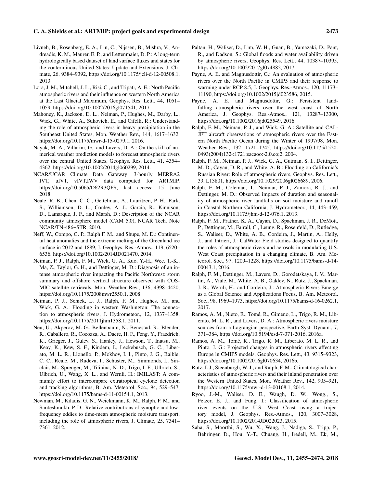#### C. A. Shields et al.: ARTMIP: project goals and experimental design 2473

- Livneh, B., Rosenberg, E. A., Lin, C., Nijssen, B., Mishra, V., Andreadis, K. M., Maurer, E. P., and Lettenmaier, D. P.: A long-term hydrologically based dataset of land surface fluxes and states for the conterminous United States: Update and Extensions, J. Climate, 26, 9384–9392, https://doi.org/10.1175/jcli-d-12-00508.1, 2013.
- Lora, J. M., Mitchell, J. L., Risi, C., and Tripati, A. E.: North Pacific atmospheric rivers and their influence on western North America at the Last Glacial Maximum, Geophys. Res. Lett., 44, 1051– 1059, https://doi.org/10.1002/2016gl071541, 2017.
- Mahoney, K., Jackson, D. L., Neiman, P., Hughes, M., Darby, L., Wick, G., White, A., Sukovich, E., and Cifelli, R.: Understanding the role of atmospheric rivers in heavy precipitation in the Southeast United States, Mon. Weather Rev., 144, 1617–1632, https://doi.org/10.1175/mwr-d-15-0279.1, 2016.
- Nayak, M. A., Villarini, G., and Lavers, D. A.: On the skill of numerical weather prediction models to forecast atmospheric rivers over the central United States, Geophys. Res. Lett., 41, 4354– 4362, https://doi.org/10.1002/2014gl060299, 2014.
- NCAR/UCAR Climate Data Gateway: 3-hourly MERRA2 IVT, uIVT, vIVT,IWV data computed for ARTMIP, https://doi.org/10.5065/D62R3QFS, last access: 15 June 2018.
- Neale, R. B., Chen, C. C., Gettelman, A., Lauritzen, P. H., Park, S., Williamson, D. L., Conley, A. J., Garcia, R., Kinnison, D., Lamarque, J. F., and Marsh, D.: Description of the NCAR community atmosphere model (CAM 5.0), NCAR Tech. Note NCAR/TN-486+STR, 2010.
- Neff, W., Compo, G. P., Ralph F. M., and Shupe, M. D.: Continental heat anomalies and the extreme melting of the Greenland ice surface in 2012 and 1889, J. Geophys. Res.-Atmos., 119, 6520– 6536, https://doi.org/10.1002/2014JD021470, 2014.
- Neiman, P. J., Ralph, F. M., Wick, G. A., Kuo, Y.-H., Wee, T.-K., Ma, Z., Taylor, G. H., and Dettinger, M. D.: Diagnosis of an intense atmospheric river impacting the Pacific Northwest: storm summary and offshore vertical structure observed with COS-MIC satellite retrievals, Mon. Weather Rev., 136, 4398–4420, https://doi.org/10.1175/2008mwr2550.1, 2008.
- Neiman, P. J., Schick, L. J., Ralph, F. M., Hughes, M., and Wick, G. A.: Flooding in western Washington: The connection to atmospheric rivers, J. Hydrometeor., 12, 1337–1358, https://doi.org/10.1175/2011jhm1358.1, 2011.
- Neu, U., Akperov, M. G., Bellenbaum, N., Benestad, R., Blender, R., Caballero, R., Cocozza, A., Dacre, H. F., Feng, Y., Fraedrich, K., Grieger, J., Gulev, S., Hanley, J., Hewson, T., Inatsu, M., Keay, K., Kew, S. F., Kindem, I., Leckebusch, G. C., Liberato, M. L. R., Lionello, P., Mokhov, I. I., Pinto, J. G., Raible, C. C., Reale, M., Rudeva, I., Schuster, M., Simmonds, I., Sinclair, M., Sprenger, M., Tilinina, N. D., Trigo, I. F., Ulbrich, S., Ulbrich, U., Wang, X. L., and Wernli, H.: IMILAST: A community effort to intercompare extratropical cyclone detection and tracking algorithms, B. Am. Meteorol. Soc., 94, 529–547, https://doi.org/10.1175/bams-d-11-00154.1, 2013.
- Newman, M., Kiladis, G. N., Weickmann, K. M., Ralph, F. M., and Sardeshmukh, P. D.: Relative contributions of synoptic and lowfrequency eddies to time-mean atmospheric moisture transport, including the role of atmospheric rivers, J. Climate, 25, 7341– 7361, 2012.
- Paltan, H., Waliser, D., Lim, W. H., Guan, B., Yamazaki, D., Pant, R., and Dadson, S.: Global floods and water availability driven by atmospheric rivers, Geophys. Res. Lett., 44, 10387–10395, https://doi.org/10.1002/2017gl074882, 2017.
- Payne, A. E. and Magnusdottir, G.: An evaluation of atmospheric rivers over the North Pacific in CMIP5 and their response to warming under RCP 8.5, J. Geophys. Res.-Atmos., 120, 11173– 11190, https://doi.org/10.1002/2015jd023586, 2015.
- Payne, A. E. and Magnusdottir, G.: Persistent landfalling atmospheric rivers over the west coast of North America, J. Geophys. Res.-Atmos., 121, 13287–13300, https://doi.org/10.1002/2016jd025549, 2016.
- Ralph, F. M., Neiman, P. J., and Wick, G. A.: Satellite and CAL-JET aircraft observations of atmospheric rivers over the Eastern North Pacific Ocean during the Winter of 1997/98, Mon. Weather Rev., 132, 1721–1745, https://doi.org/10.1175/1520- 0493(2004)132<1721:sacaoo>2.0.co;2, 2004.
- Ralph, F. M., Neiman, P. J., Wick, G. A., Gutman, S. I., Dettinger, M. D., Cayan, D. R., and White, A. B.: Flooding on California's Russian River: Role of atmospheric rivers, Geophys. Res. Lett., 33, L13801, https://doi.org/10.1029/2006gl026689, 2006.
- Ralph, F. M., Coleman, T., Neiman, P. J., Zamora, R. J., and Dettinger, M. D.: Observed impacts of duration and seasonality of atmospheric river landfalls on soil moisture and runoff in Coastal Northern California, J. Hydrometeor., 14, 443–459, https://doi.org/10.1175/jhm-d-12-076.1, 2013.
- Ralph, F. M., Prather, K. A., Cayan, D., Spackman, J. R., DeMott, P., Dettinger, M., Fairall, C., Leung, R., Rosenfeld, D., Rutledge, S., Waliser, D., White, A. B., Cordeira, J., Martin, A., Helly, J., and Intrieri, J.: CalWater Field studies designed to quantify the roles of atmospheric rivers and aerosols in modulating U.S. West Coast precipitation in a changing climate, B. Am. Meteorol. Soc., 97, 1209–1228, https://doi.org/10.1175/bams-d-14- 00043.1, 2016.
- Ralph, F. M., Dettinger, M., Lavers, D., Gorodetskaya, I. V., Martin, A., Viale, M., White, A. B., Oakley, N., Rutz, J., Spackman, J. R., Wernli, H., and Cordeira, J.: Atmospheric Rivers Emerge as a Global Science and Applications Focus, B. Am. Meteorol. Soc., 98, 1969–1973, https://doi.org/10.1175/bams-d-16-0262.1, 2017.
- Ramos, A. M., Nieto, R., Tomé, R., Gimeno, L., Trigo, R. M., Liberato, M. L. R., and Lavers, D. A.: Atmospheric rivers moisture sources from a Lagrangian perspective, Earth Syst. Dynam., 7, 371–384, https://doi.org/10.5194/esd-7-371-2016, 2016a.
- Ramos, A. M., Tomé, R., Trigo, R. M., Liberato, M. L. R., and Pinto, J. G.: Projected changes in atmospheric rivers affecting Europe in CMIP5 models, Geophys. Res. Lett., 43, 9315–9323, https://doi.org/10.1002/2016gl070634, 2016b.
- Rutz, J. J., Steenburgh, W. J., and Ralph, F. M.: Climatological characteristics of atmospheric rivers and their inland penetration over the Western United States, Mon. Weather Rev., 142, 905–921, https://doi.org/10.1175/mwr-d-13-00168.1, 2014.
- Ryoo, J.-M., Waliser, D. E., Waugh, D. W., Wong., S., Fetzer, E. J., and Fung, I.: Classification of atmospheric river events on the U.S. West Coast using a trajectory model, J. Geophys. Res.-Atmos., 120, 3007–3028, https://doi.org/10.1002/2014JD022023, 2015.
- Saha, S., Moorthi, S., Wu, X., Wang, J., Nadiga, S., Tripp, P., Behringer, D., Hou, Y.-T., Chuang, H., Iredell, M., Ek, M.,